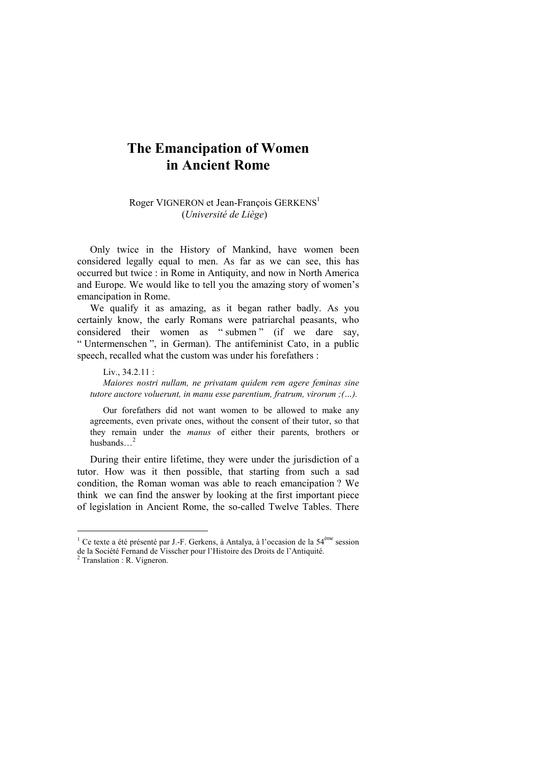# **The Emancipation of Women in Ancient Rome**

Roger VIGNERON et Jean-François GERKENS<sup>1</sup> (*Université de Liège*)

Only twice in the History of Mankind, have women been considered legally equal to men. As far as we can see, this has occurred but twice : in Rome in Antiquity, and now in North America and Europe. We would like to tell you the amazing story of women's emancipation in Rome.

We qualify it as amazing, as it began rather badly. As you certainly know, the early Romans were patriarchal peasants, who considered their women as " submen " (if we dare say, " Untermenschen ", in German). The antifeminist Cato, in a public speech, recalled what the custom was under his forefathers :

Liv., 34.2.11 : *Maiores nostri nullam, ne privatam quidem rem agere feminas sine tutore auctore voluerunt, in manu esse parentium, fratrum, virorum ;(…).* 

Our forefathers did not want women to be allowed to make any agreements, even private ones, without the consent of their tutor, so that they remain under the *manus* of either their parents, brothers or husbands…2

During their entire lifetime, they were under the jurisdiction of a tutor. How was it then possible, that starting from such a sad condition, the Roman woman was able to reach emancipation ? We think we can find the answer by looking at the first important piece of legislation in Ancient Rome, the so-called Twelve Tables. There

 $\overline{\phantom{a}}$ 

<sup>&</sup>lt;sup>1</sup> Ce texte a été présenté par J.-F. Gerkens, à Antalya, à l'occasion de la 54<sup>ème</sup> session de la Société Fernand de Visscher pour l'Histoire des Droits de l'Antiquité. 2 Translation : R. Vigneron.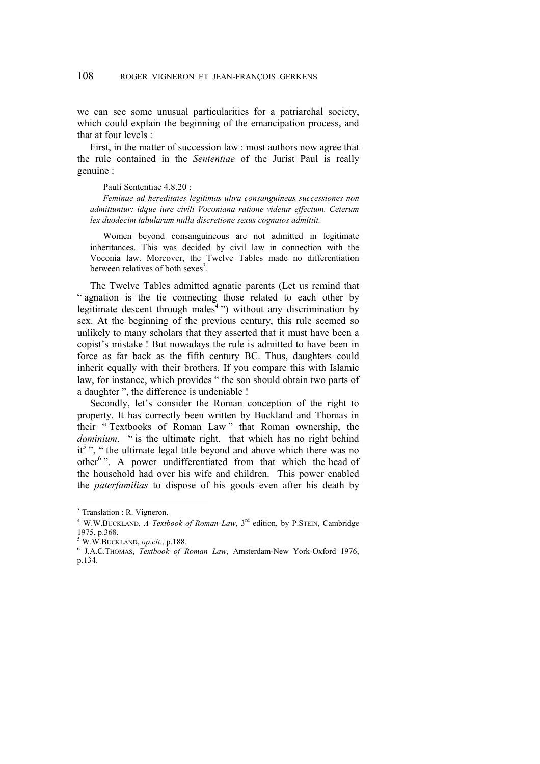we can see some unusual particularities for a patriarchal society, which could explain the beginning of the emancipation process, and that at four levels :

First, in the matter of succession law : most authors now agree that the rule contained in the *Sententiae* of the Jurist Paul is really genuine :

Pauli Sententiae 4.8.20 :

*Feminae ad hereditates legitimas ultra consanguineas successiones non admittuntur: idque iure civili Voconiana ratione videtur effectum. Ceterum lex duodecim tabularum nulla discretione sexus cognatos admittit.* 

Women beyond consanguineous are not admitted in legitimate inheritances. This was decided by civil law in connection with the Voconia law. Moreover, the Twelve Tables made no differentiation between relatives of both sexes<sup>3</sup>.

The Twelve Tables admitted agnatic parents (Let us remind that " agnation is the tie connecting those related to each other by legitimate descent through males<sup>4</sup><sup>2</sup>) without any discrimination by sex. At the beginning of the previous century, this rule seemed so unlikely to many scholars that they asserted that it must have been a copist's mistake ! But nowadays the rule is admitted to have been in force as far back as the fifth century BC. Thus, daughters could inherit equally with their brothers. If you compare this with Islamic law, for instance, which provides " the son should obtain two parts of a daughter ", the difference is undeniable !

Secondly, let's consider the Roman conception of the right to property. It has correctly been written by Buckland and Thomas in their " Textbooks of Roman Law " that Roman ownership, the *dominium*, " is the ultimate right, that which has no right behind it<sup>5</sup>", " the ultimate legal title beyond and above which there was no other<sup>6</sup>". A power undifferentiated from that which the head of the household had over his wife and children. This power enabled the *paterfamilias* to dispose of his goods even after his death by

 $3$  Translation : R. Vigneron.

<sup>&</sup>lt;sup>4</sup> W.W.BUCKLAND, *A Textbook of Roman Law*, 3<sup>rd</sup> edition, by P.STEIN, Cambridge 1975, p.368.

<sup>&</sup>lt;sup>5</sup> W.W.BUCKLAND, *op.cit.*, p.188.

J.A.C.THOMAS, *Textbook of Roman Law*, Amsterdam-New York-Oxford 1976, p.134.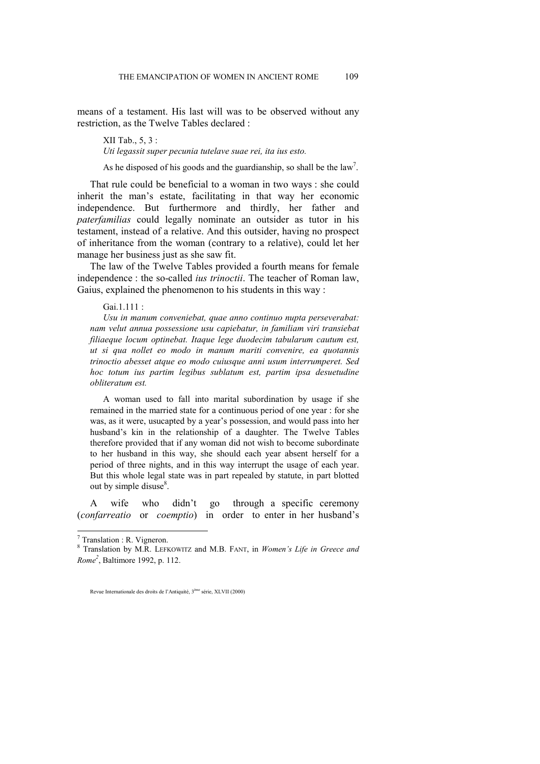means of a testament. His last will was to be observed without any restriction, as the Twelve Tables declared :

XII Tab., 5, 3 : *Uti legassit super pecunia tutelave suae rei, ita ius esto.* 

As he disposed of his goods and the guardianship, so shall be the  $law<sup>7</sup>$ .

That rule could be beneficial to a woman in two ways : she could inherit the man's estate, facilitating in that way her economic independence. But furthermore and thirdly, her father and *paterfamilias* could legally nominate an outsider as tutor in his testament, instead of a relative. And this outsider, having no prospect of inheritance from the woman (contrary to a relative), could let her manage her business just as she saw fit.

The law of the Twelve Tables provided a fourth means for female independence : the so-called *ius trinoctii*. The teacher of Roman law, Gaius, explained the phenomenon to his students in this way :

Gai.1.111 ·

*Usu in manum conveniebat, quae anno continuo nupta perseverabat: nam velut annua possessione usu capiebatur, in familiam viri transiebat filiaeque locum optinebat. Itaque lege duodecim tabularum cautum est, ut si qua nollet eo modo in manum mariti convenire, ea quotannis trinoctio abesset atque eo modo cuiusque anni usum interrumperet. Sed hoc totum ius partim legibus sublatum est, partim ipsa desuetudine obliteratum est.* 

A woman used to fall into marital subordination by usage if she remained in the married state for a continuous period of one year : for she was, as it were, usucapted by a year's possession, and would pass into her husband's kin in the relationship of a daughter. The Twelve Tables therefore provided that if any woman did not wish to become subordinate to her husband in this way, she should each year absent herself for a period of three nights, and in this way interrupt the usage of each year. But this whole legal state was in part repealed by statute, in part blotted out by simple disuse $8$ .

A wife who didn't go through a specific ceremony (*confarreatio* or *coemptio*) in order to enter in her husband's

 $\overline{\phantom{a}}$ 

Revue Internationale des droits de l'Antiquité, 3ème série, XLVII (2000)

 $7$  Translation : R. Vigneron.

<sup>8</sup> Translation by M.R. LEFKOWITZ and M.B. FANT, in *Women's Life in Greece and Rome2* , Baltimore 1992, p. 112.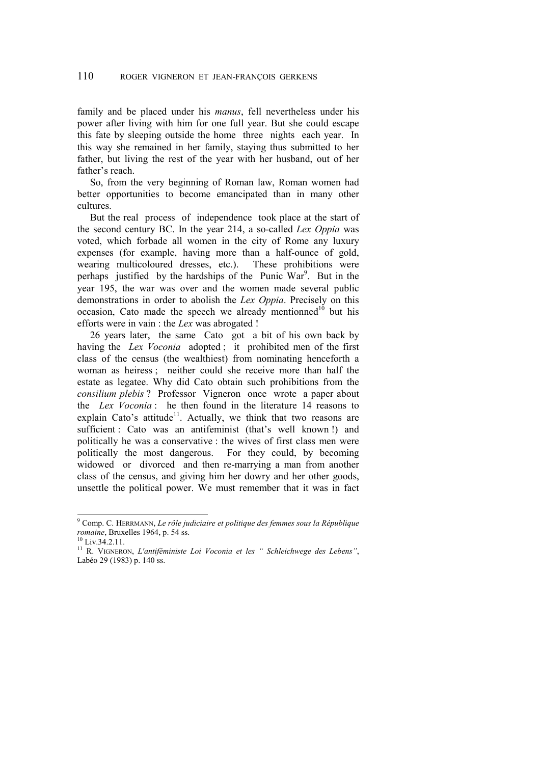family and be placed under his *manus*, fell nevertheless under his power after living with him for one full year. But she could escape this fate by sleeping outside the home three nights each year. In this way she remained in her family, staying thus submitted to her father, but living the rest of the year with her husband, out of her father's reach.

So, from the very beginning of Roman law, Roman women had better opportunities to become emancipated than in many other cultures.

But the real process of independence took place at the start of the second century BC. In the year 214, a so-called *Lex Oppia* was voted, which forbade all women in the city of Rome any luxury expenses (for example, having more than a half-ounce of gold, wearing multicoloured dresses, etc.). These prohibitions were perhaps justified by the hardships of the Punic  $War<sup>9</sup>$ . But in the year 195, the war was over and the women made several public demonstrations in order to abolish the *Lex Oppia*. Precisely on this occasion, Cato made the speech we already mentionned<sup>10</sup> but his efforts were in vain : the *Lex* was abrogated !

26 years later, the same Cato got a bit of his own back by having the *Lex Voconia* adopted ; it prohibited men of the first class of the census (the wealthiest) from nominating henceforth a woman as heiress ; neither could she receive more than half the estate as legatee. Why did Cato obtain such prohibitions from the *consilium plebis* ? Professor Vigneron once wrote a paper about the *Lex Voconia* : he then found in the literature 14 reasons to explain Cato's attitude<sup>11</sup>. Actually, we think that two reasons are sufficient : Cato was an antifeminist (that's well known !) and politically he was a conservative : the wives of first class men were politically the most dangerous. For they could, by becoming widowed or divorced and then re-marrying a man from another class of the census, and giving him her dowry and her other goods, unsettle the political power. We must remember that it was in fact

 9 Comp. C. HERRMANN, *Le rôle judiciaire et politique des femmes sous la République romaine*, Bruxelles 1964, p. 54 ss.<br><sup>10</sup> Liv.34.2.11.

<sup>11</sup> R. VIGNERON, *L'antiféministe Loi Voconia et les " Schleichwege des Lebens"*, Labéo 29 (1983) p. 140 ss.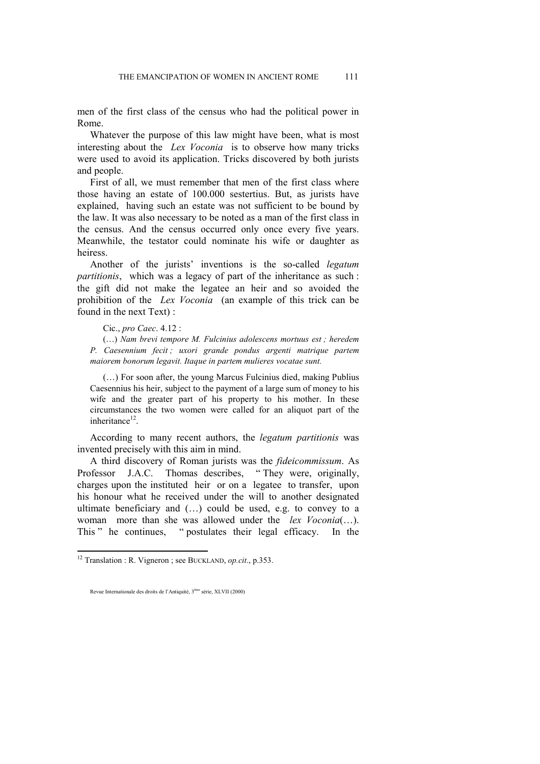men of the first class of the census who had the political power in Rome.

Whatever the purpose of this law might have been, what is most interesting about the *Lex Voconia* is to observe how many tricks were used to avoid its application. Tricks discovered by both jurists and people.

First of all, we must remember that men of the first class where those having an estate of 100.000 sestertius. But, as jurists have explained, having such an estate was not sufficient to be bound by the law. It was also necessary to be noted as a man of the first class in the census. And the census occurred only once every five years. Meanwhile, the testator could nominate his wife or daughter as heiress.

Another of the jurists' inventions is the so-called *legatum partitionis*, which was a legacy of part of the inheritance as such : the gift did not make the legatee an heir and so avoided the prohibition of the *Lex Voconia* (an example of this trick can be found in the next Text) :

Cic., *pro Caec*. 4.12 :

(…) *Nam brevi tempore M. Fulcinius adolescens mortuus est ; heredem P. Caesennium fecit ; uxori grande pondus argenti matrique partem maiorem bonorum legavit. Itaque in partem mulieres vocatae sunt.* 

(…) For soon after, the young Marcus Fulcinius died, making Publius Caesennius his heir, subject to the payment of a large sum of money to his wife and the greater part of his property to his mother. In these circumstances the two women were called for an aliquot part of the inheritance $12$ .

According to many recent authors, the *legatum partitionis* was invented precisely with this aim in mind.

A third discovery of Roman jurists was the *fideicommissum*. As Professor J.A.C. Thomas describes, " They were, originally, charges upon the instituted heir or on a legatee to transfer, upon his honour what he received under the will to another designated ultimate beneficiary and (…) could be used, e.g. to convey to a woman more than she was allowed under the *lex Voconia*(…). This " he continues, " postulates their legal efficacy. In the

<sup>12</sup> Translation : R. Vigneron ; see BUCKLAND, *op.cit*., p.353.

Revue Internationale des droits de l'Antiquité, 3ème série, XLVII (2000)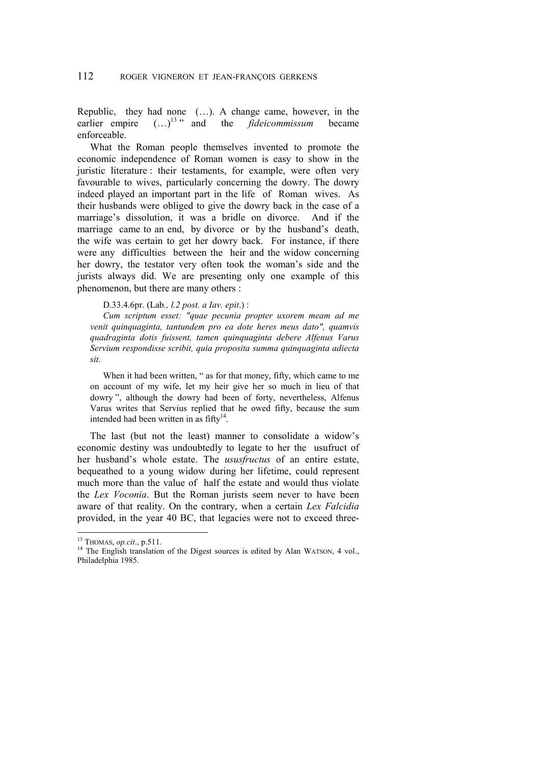Republic, they had none (…). A change came, however, in the earlier empire  $(...)^{13}$  and the *fideicommissum* became enforceable.

What the Roman people themselves invented to promote the economic independence of Roman women is easy to show in the juristic literature : their testaments, for example, were often very favourable to wives, particularly concerning the dowry. The dowry indeed played an important part in the life of Roman wives. As their husbands were obliged to give the dowry back in the case of a marriage's dissolution, it was a bridle on divorce. And if the marriage came to an end, by divorce or by the husband's death, the wife was certain to get her dowry back. For instance, if there were any difficulties between the heir and the widow concerning her dowry, the testator very often took the woman's side and the jurists always did. We are presenting only one example of this phenomenon, but there are many others :

D.33.4.6pr. (Lab*., l.2 post. a Iav. epit*.) :

*Cum scriptum esset: "quae pecunia propter uxorem meam ad me venit quinquaginta, tantundem pro ea dote heres meus dato", quamvis quadraginta dotis fuissent, tamen quinquaginta debere Alfenus Varus Servium respondisse scribit, quia proposita summa quinquaginta adiecta sit.* 

When it had been written, " as for that money, fifty, which came to me on account of my wife, let my heir give her so much in lieu of that dowry ", although the dowry had been of forty, nevertheless, Alfenus Varus writes that Servius replied that he owed fifty, because the sum intended had been written in as  $\text{fifty}^{14}$ .

The last (but not the least) manner to consolidate a widow's economic destiny was undoubtedly to legate to her the usufruct of her husband's whole estate. The *ususfructus* of an entire estate, bequeathed to a young widow during her lifetime, could represent much more than the value of half the estate and would thus violate the *Lex Voconia*. But the Roman jurists seem never to have been aware of that reality. On the contrary, when a certain *Lex Falcidia*  provided, in the year 40 BC, that legacies were not to exceed three-

 $13$  THOMAS, *op.cit.*, p.511.

<sup>&</sup>lt;sup>14</sup> The English translation of the Digest sources is edited by Alan WATSON, 4 vol., Philadelphia 1985.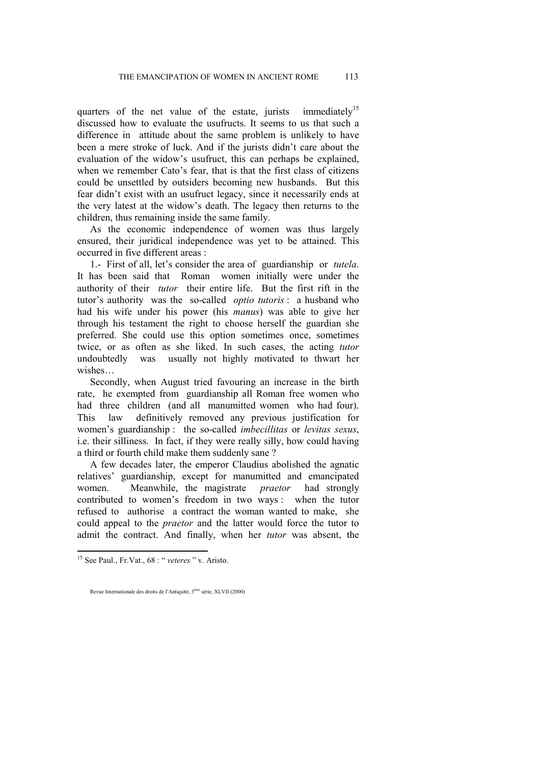quarters of the net value of the estate, jurists immediately<sup>15</sup> discussed how to evaluate the usufructs. It seems to us that such a difference in attitude about the same problem is unlikely to have been a mere stroke of luck. And if the jurists didn't care about the evaluation of the widow's usufruct, this can perhaps be explained, when we remember Cato's fear, that is that the first class of citizens could be unsettled by outsiders becoming new husbands. But this fear didn't exist with an usufruct legacy, since it necessarily ends at the very latest at the widow's death. The legacy then returns to the children, thus remaining inside the same family.

As the economic independence of women was thus largely ensured, their juridical independence was yet to be attained. This occurred in five different areas :

1.- First of all, let's consider the area of guardianship or *tutela*. It has been said that Roman women initially were under the authority of their *tutor* their entire life. But the first rift in the tutor's authority was the so-called *optio tutoris* : a husband who had his wife under his power (his *manus*) was able to give her through his testament the right to choose herself the guardian she preferred. She could use this option sometimes once, sometimes twice, or as often as she liked. In such cases, the acting *tutor* undoubtedly was usually not highly motivated to thwart her wishes…

Secondly, when August tried favouring an increase in the birth rate, he exempted from guardianship all Roman free women who had three children (and all manumitted women who had four). This law definitively removed any previous justification for women's guardianship : the so-called *imbecillitas* or *levitas sexus*, i.e. their silliness. In fact, if they were really silly, how could having a third or fourth child make them suddenly sane ?

A few decades later, the emperor Claudius abolished the agnatic relatives' guardianship, except for manumitted and emancipated women. Meanwhile, the magistrate *praetor* had strongly contributed to women's freedom in two ways : when the tutor refused to authorise a contract the woman wanted to make, she could appeal to the *praetor* and the latter would force the tutor to admit the contract. And finally, when her *tutor* was absent, the

<sup>15</sup> See Paul., Fr.Vat., 68 : " *veteres* " v. Aristo.

Revue Internationale des droits de l'Antiquité, 3ème série, XLVII (2000)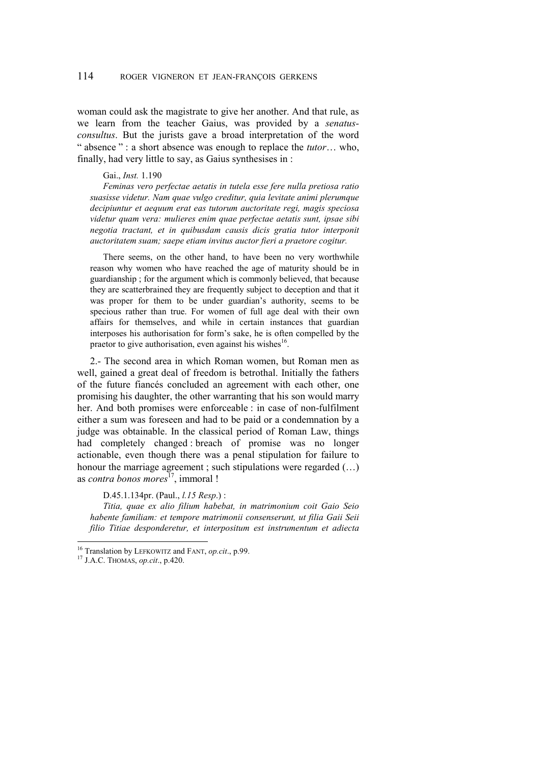woman could ask the magistrate to give her another. And that rule, as we learn from the teacher Gaius, was provided by a *senatusconsultus*. But the jurists gave a broad interpretation of the word " absence " : a short absence was enough to replace the *tutor*… who, finally, had very little to say, as Gaius synthesises in :

### Gai., *Inst.* 1.190

*Feminas vero perfectae aetatis in tutela esse fere nulla pretiosa ratio suasisse videtur. Nam quae vulgo creditur, quia levitate animi plerumque decipiuntur et aequum erat eas tutorum auctoritate regi, magis speciosa videtur quam vera: mulieres enim quae perfectae aetatis sunt, ipsae sibi negotia tractant, et in quibusdam causis dicis gratia tutor interponit auctoritatem suam; saepe etiam invitus auctor fieri a praetore cogitur.* 

There seems, on the other hand, to have been no very worthwhile reason why women who have reached the age of maturity should be in guardianship ; for the argument which is commonly believed, that because they are scatterbrained they are frequently subject to deception and that it was proper for them to be under guardian's authority, seems to be specious rather than true. For women of full age deal with their own affairs for themselves, and while in certain instances that guardian interposes his authorisation for form's sake, he is often compelled by the praetor to give authorisation, even against his wishes $^{16}$ .

2.- The second area in which Roman women, but Roman men as well, gained a great deal of freedom is betrothal. Initially the fathers of the future fiancés concluded an agreement with each other, one promising his daughter, the other warranting that his son would marry her. And both promises were enforceable : in case of non-fulfilment either a sum was foreseen and had to be paid or a condemnation by a judge was obtainable. In the classical period of Roman Law, things had completely changed : breach of promise was no longer actionable, even though there was a penal stipulation for failure to honour the marriage agreement ; such stipulations were regarded  $(...)$ as *contra bonos mores*<sup>17</sup>, immoral !

#### D.45.1.134pr. (Paul., *l.15 Resp*.) :

*Titia, quae ex alio filium habebat, in matrimonium coit Gaio Seio habente familiam: et tempore matrimonii consenserunt, ut filia Gaii Seii filio Titiae desponderetur, et interpositum est instrumentum et adiecta* 

<sup>16</sup> Translation by LEFKOWITZ and FANT, *op.cit*., p.99. 17 J.A.C. THOMAS, *op.cit*., p.420.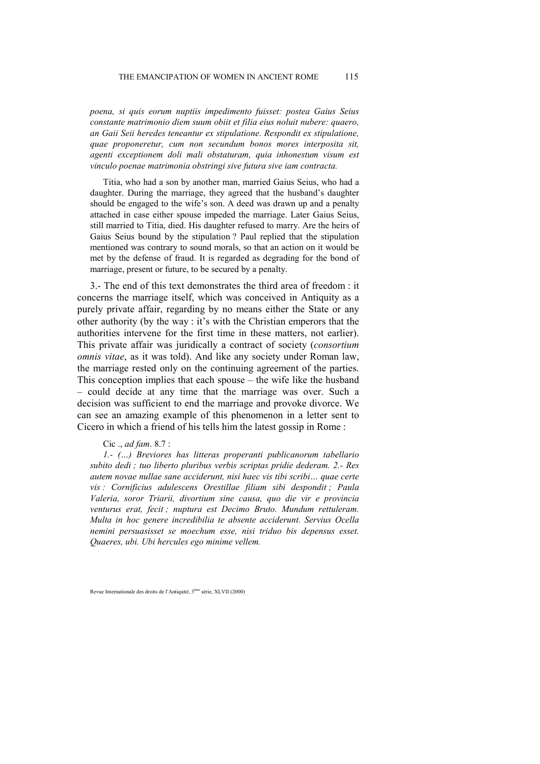*poena, si quis eorum nuptiis impedimento fuisset: postea Gaius Seius constante matrimonio diem suum obiit et filia eius noluit nubere: quaero, an Gaii Seii heredes teneantur ex stipulatione. Respondit ex stipulatione, quae proponeretur, cum non secundum bonos mores interposita sit, agenti exceptionem doli mali obstaturam, quia inhonestum visum est vinculo poenae matrimonia obstringi sive futura sive iam contracta.* 

Titia, who had a son by another man, married Gaius Seius, who had a daughter. During the marriage, they agreed that the husband's daughter should be engaged to the wife's son. A deed was drawn up and a penalty attached in case either spouse impeded the marriage. Later Gaius Seius, still married to Titia, died. His daughter refused to marry. Are the heirs of Gaius Seius bound by the stipulation ? Paul replied that the stipulation mentioned was contrary to sound morals, so that an action on it would be met by the defense of fraud. It is regarded as degrading for the bond of marriage, present or future, to be secured by a penalty.

3.- The end of this text demonstrates the third area of freedom : it concerns the marriage itself, which was conceived in Antiquity as a purely private affair, regarding by no means either the State or any other authority (by the way : it's with the Christian emperors that the authorities intervene for the first time in these matters, not earlier). This private affair was juridically a contract of society (*consortium omnis vitae*, as it was told). And like any society under Roman law, the marriage rested only on the continuing agreement of the parties. This conception implies that each spouse – the wife like the husband – could decide at any time that the marriage was over. Such a decision was sufficient to end the marriage and provoke divorce. We can see an amazing example of this phenomenon in a letter sent to Cicero in which a friend of his tells him the latest gossip in Rome :

### Cic ., *ad fam*. 8.7 :

*1.- (…) Breviores has litteras properanti publicanorum tabellario subito dedi ; tuo liberto pluribus verbis scriptas pridie dederam. 2.- Res autem novae nullae sane acciderunt, nisi haec vis tibi scribi… quae certe vis : Cornificius adulescens Orestillae filiam sibi despondit ; Paula Valeria, soror Triarii, divortium sine causa, quo die vir e provincia venturus erat, fecit ; nuptura est Decimo Bruto. Mundum rettuleram. Multa in hoc genere incredibilia te absente acciderunt. Servius Ocella nemini persuasisset se moechum esse, nisi triduo bis depensus esset. Quaeres, ubi. Ubi hercules ego minime vellem.* 

Revue Internationale des droits de l'Antiquité, 3ème série, XLVII (2000)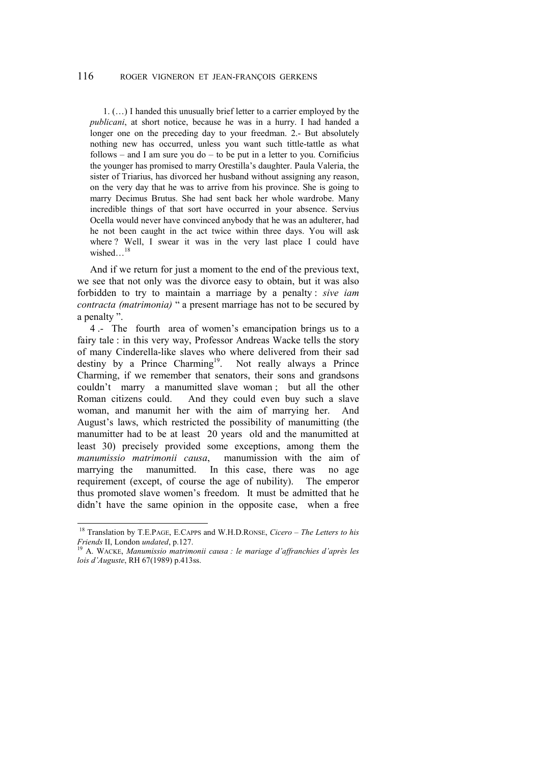1. (…) I handed this unusually brief letter to a carrier employed by the *publicani*, at short notice, because he was in a hurry. I had handed a longer one on the preceding day to your freedman. 2.- But absolutely nothing new has occurred, unless you want such tittle-tattle as what follows – and I am sure you do – to be put in a letter to you. Cornificius the younger has promised to marry Orestilla's daughter. Paula Valeria, the sister of Triarius, has divorced her husband without assigning any reason, on the very day that he was to arrive from his province. She is going to marry Decimus Brutus. She had sent back her whole wardrobe. Many incredible things of that sort have occurred in your absence. Servius Ocella would never have convinced anybody that he was an adulterer, had he not been caught in the act twice within three days. You will ask where ? Well, I swear it was in the very last place I could have wished...<sup>18</sup>

And if we return for just a moment to the end of the previous text, we see that not only was the divorce easy to obtain, but it was also forbidden to try to maintain a marriage by a penalty : *sive iam contracta (matrimonia)* " a present marriage has not to be secured by a penalty ".

4 .- The fourth area of women's emancipation brings us to a fairy tale : in this very way, Professor Andreas Wacke tells the story of many Cinderella-like slaves who where delivered from their sad destiny by a Prince Charming<sup>19</sup>. Not really always a Prince Charming, if we remember that senators, their sons and grandsons couldn't marry a manumitted slave woman ; but all the other Roman citizens could. And they could even buy such a slave woman, and manumit her with the aim of marrying her. And August's laws, which restricted the possibility of manumitting (the manumitter had to be at least 20 years old and the manumitted at least 30) precisely provided some exceptions, among them the *manumissio matrimonii causa*, manumission with the aim of marrying the manumitted. In this case, there was no age requirement (except, of course the age of nubility). The emperor thus promoted slave women's freedom. It must be admitted that he didn't have the same opinion in the opposite case, when a free

 $\overline{\phantom{a}}$ 

<sup>18</sup> Translation by T.E.PAGE, E.CAPPS and W.H.D.RONSE, *Cicero – The Letters to his Friends* II, London *undated*, p.127.<br><sup>19</sup> A. WACKE, *Manumissio matrimonii causa : le mariage d'affranchies d'après les* 

*lois d'Auguste*, RH 67(1989) p.413ss.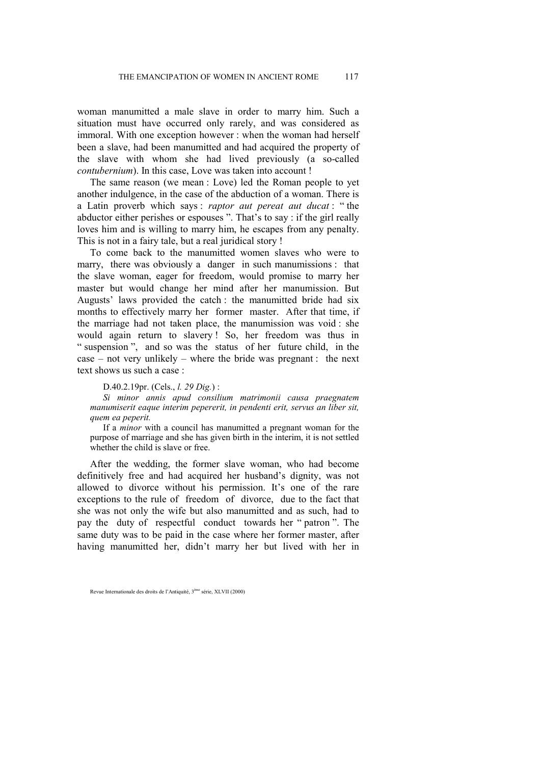woman manumitted a male slave in order to marry him. Such a situation must have occurred only rarely, and was considered as immoral. With one exception however : when the woman had herself been a slave, had been manumitted and had acquired the property of the slave with whom she had lived previously (a so-called *contubernium*). In this case, Love was taken into account !

The same reason (we mean : Love) led the Roman people to yet another indulgence, in the case of the abduction of a woman. There is a Latin proverb which says : *raptor aut pereat aut ducat* : " the abductor either perishes or espouses ". That's to say : if the girl really loves him and is willing to marry him, he escapes from any penalty. This is not in a fairy tale, but a real juridical story !

To come back to the manumitted women slaves who were to marry, there was obviously a danger in such manumissions : that the slave woman, eager for freedom, would promise to marry her master but would change her mind after her manumission. But Augusts' laws provided the catch : the manumitted bride had six months to effectively marry her former master. After that time, if the marriage had not taken place, the manumission was void : she would again return to slavery ! So, her freedom was thus in " suspension", and so was the status of her future child, in the case – not very unlikely – where the bride was pregnant : the next text shows us such a case :

#### D.40.2.19pr. (Cels., *l. 29 Dig.*) :

*Si minor annis apud consilium matrimonii causa praegnatem manumiserit eaque interim pepererit, in pendenti erit, servus an liber sit, quem ea peperit.* 

If a *minor* with a council has manumitted a pregnant woman for the purpose of marriage and she has given birth in the interim, it is not settled whether the child is slave or free.

After the wedding, the former slave woman, who had become definitively free and had acquired her husband's dignity, was not allowed to divorce without his permission. It's one of the rare exceptions to the rule of freedom of divorce, due to the fact that she was not only the wife but also manumitted and as such, had to pay the duty of respectful conduct towards her " patron ". The same duty was to be paid in the case where her former master, after having manumitted her, didn't marry her but lived with her in

Revue Internationale des droits de l'Antiquité, 3ème série, XLVII (2000)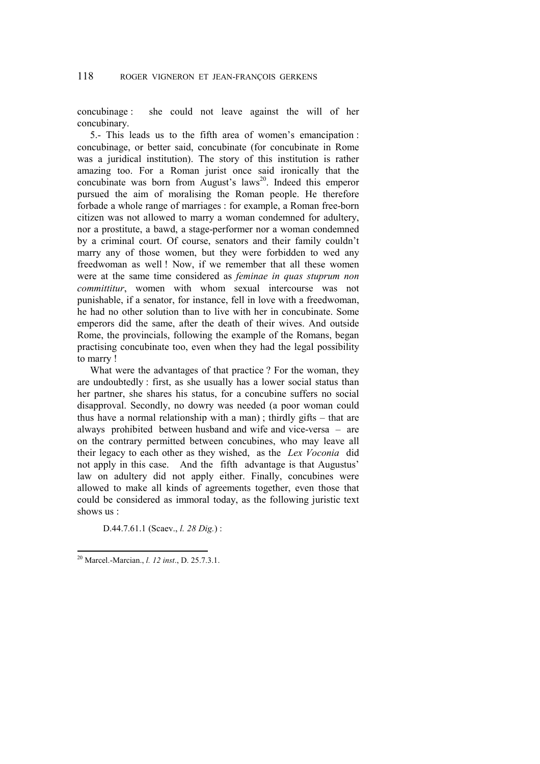concubinage : she could not leave against the will of her concubinary.

5.- This leads us to the fifth area of women's emancipation : concubinage, or better said, concubinate (for concubinate in Rome was a juridical institution). The story of this institution is rather amazing too. For a Roman jurist once said ironically that the concubinate was born from August's laws<sup>20</sup>. Indeed this emperor pursued the aim of moralising the Roman people. He therefore forbade a whole range of marriages : for example, a Roman free-born citizen was not allowed to marry a woman condemned for adultery, nor a prostitute, a bawd, a stage-performer nor a woman condemned by a criminal court. Of course, senators and their family couldn't marry any of those women, but they were forbidden to wed any freedwoman as well ! Now, if we remember that all these women were at the same time considered as *feminae in quas stuprum non committitur*, women with whom sexual intercourse was not punishable, if a senator, for instance, fell in love with a freedwoman, he had no other solution than to live with her in concubinate. Some emperors did the same, after the death of their wives. And outside Rome, the provincials, following the example of the Romans, began practising concubinate too, even when they had the legal possibility to marry !

What were the advantages of that practice ? For the woman, they are undoubtedly : first, as she usually has a lower social status than her partner, she shares his status, for a concubine suffers no social disapproval. Secondly, no dowry was needed (a poor woman could thus have a normal relationship with a man) ; thirdly gifts – that are always prohibited between husband and wife and vice-versa – are on the contrary permitted between concubines, who may leave all their legacy to each other as they wished, as the *Lex Voconia* did not apply in this case. And the fifth advantage is that Augustus' law on adultery did not apply either. Finally, concubines were allowed to make all kinds of agreements together, even those that could be considered as immoral today, as the following juristic text shows us :

D.44.7.61.1 (Scaev., *l. 28 Dig.*) :

<sup>20</sup> Marcel.-Marcian., *l. 12 inst*., D. 25.7.3.1.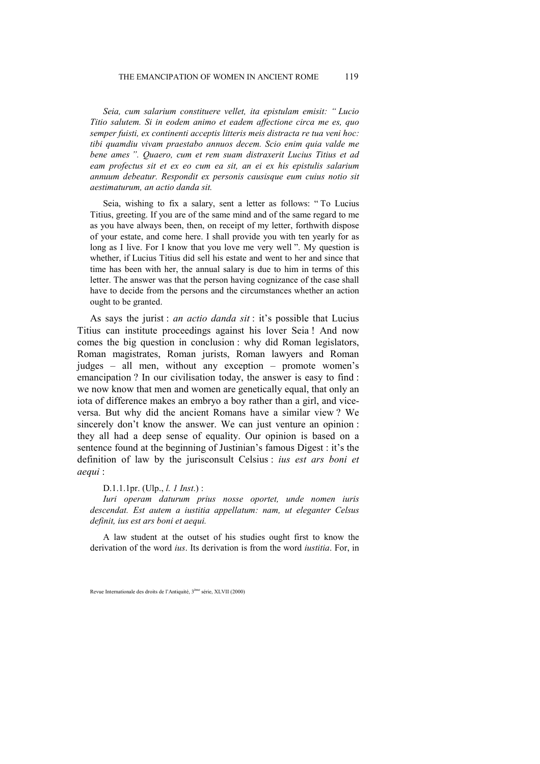*Seia, cum salarium constituere vellet, ita epistulam emisit: " Lucio Titio salutem. Si in eodem animo et eadem affectione circa me es, quo semper fuisti, ex continenti acceptis litteris meis distracta re tua veni hoc: tibi quamdiu vivam praestabo annuos decem. Scio enim quia valde me bene ames ". Quaero, cum et rem suam distraxerit Lucius Titius et ad eam profectus sit et ex eo cum ea sit, an ei ex his epistulis salarium annuum debeatur. Respondit ex personis causisque eum cuius notio sit aestimaturum, an actio danda sit.* 

Seia, wishing to fix a salary, sent a letter as follows: " To Lucius Titius, greeting. If you are of the same mind and of the same regard to me as you have always been, then, on receipt of my letter, forthwith dispose of your estate, and come here. I shall provide you with ten yearly for as long as I live. For I know that you love me very well ". My question is whether, if Lucius Titius did sell his estate and went to her and since that time has been with her, the annual salary is due to him in terms of this letter. The answer was that the person having cognizance of the case shall have to decide from the persons and the circumstances whether an action ought to be granted.

As says the jurist : *an actio danda sit* : it's possible that Lucius Titius can institute proceedings against his lover Seia ! And now comes the big question in conclusion : why did Roman legislators, Roman magistrates, Roman jurists, Roman lawyers and Roman judges – all men, without any exception – promote women's emancipation ? In our civilisation today, the answer is easy to find : we now know that men and women are genetically equal, that only an iota of difference makes an embryo a boy rather than a girl, and viceversa. But why did the ancient Romans have a similar view ? We sincerely don't know the answer. We can just venture an opinion : they all had a deep sense of equality. Our opinion is based on a sentence found at the beginning of Justinian's famous Digest : it's the definition of law by the jurisconsult Celsius : *ius est ars boni et aequi* :

#### D.1.1.1pr. (Ulp., *l. 1 Inst*.) :

*Iuri operam daturum prius nosse oportet, unde nomen iuris descendat. Est autem a iustitia appellatum: nam, ut eleganter Celsus definit, ius est ars boni et aequi.* 

A law student at the outset of his studies ought first to know the derivation of the word *ius*. Its derivation is from the word *iustitia*. For, in

Revue Internationale des droits de l'Antiquité, 3ème série, XLVII (2000)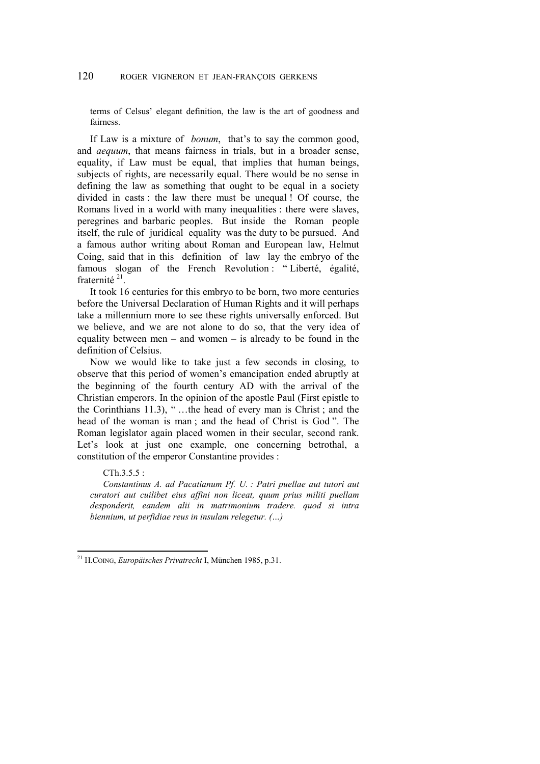terms of Celsus' elegant definition, the law is the art of goodness and fairness.

If Law is a mixture of *bonum*, that's to say the common good, and *aequum*, that means fairness in trials, but in a broader sense, equality, if Law must be equal, that implies that human beings, subjects of rights, are necessarily equal. There would be no sense in defining the law as something that ought to be equal in a society divided in casts : the law there must be unequal ! Of course, the Romans lived in a world with many inequalities : there were slaves, peregrines and barbaric peoples. But inside the Roman people itself, the rule of juridical equality was the duty to be pursued. And a famous author writing about Roman and European law, Helmut Coing, said that in this definition of law lay the embryo of the famous slogan of the French Revolution : " Liberté, égalité, fraternité 21.

It took 16 centuries for this embryo to be born, two more centuries before the Universal Declaration of Human Rights and it will perhaps take a millennium more to see these rights universally enforced. But we believe, and we are not alone to do so, that the very idea of equality between men – and women – is already to be found in the definition of Celsius.

Now we would like to take just a few seconds in closing, to observe that this period of women's emancipation ended abruptly at the beginning of the fourth century AD with the arrival of the Christian emperors. In the opinion of the apostle Paul (First epistle to the Corinthians 11.3), " …the head of every man is Christ ; and the head of the woman is man ; and the head of Christ is God ". The Roman legislator again placed women in their secular, second rank. Let's look at just one example, one concerning betrothal, a constitution of the emperor Constantine provides :

## CTh.3.5.5 :

l

*Constantinus A. ad Pacatianum Pf. U. : Patri puellae aut tutori aut curatori aut cuilibet eius affini non liceat, quum prius militi puellam desponderit, eandem alii in matrimonium tradere. quod si intra biennium, ut perfidiae reus in insulam relegetur. (…)* 

<sup>21</sup> H.COING, *Europäisches Privatrecht* I, München 1985, p.31.